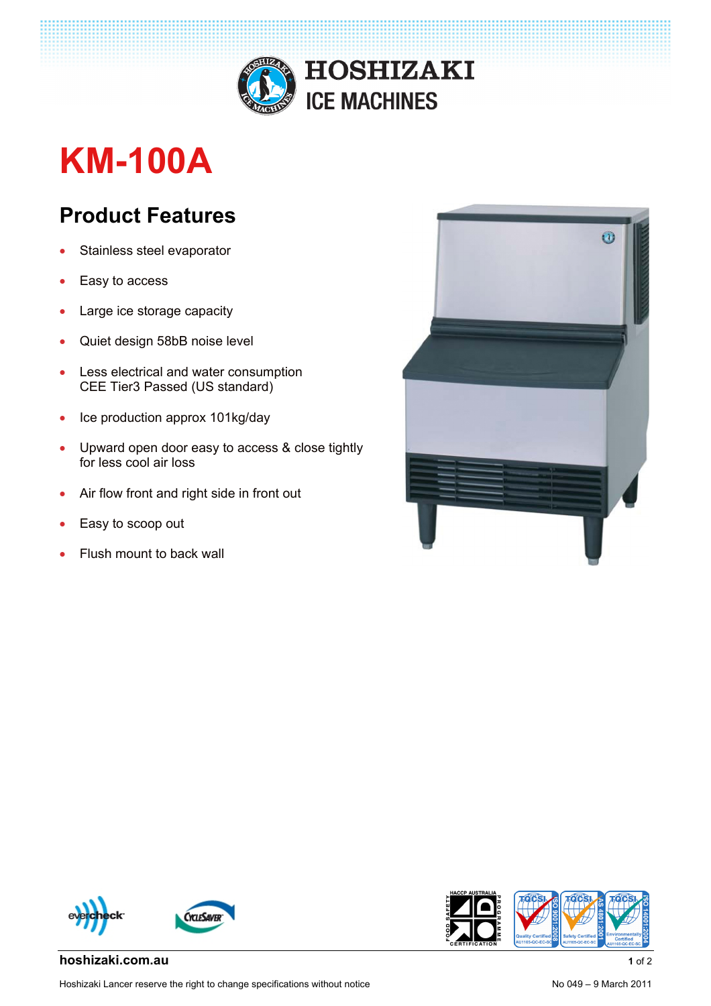

## **KM-100A**

## **Product Features**

- Stainless steel evaporator
- Easy to access
- Large ice storage capacity
- Quiet design 58bB noise level
- Less electrical and water consumption CEE Tier3 Passed (US standard)
- Ice production approx 101kg/day
- Upward open door easy to access & close tightly for less cool air loss
- Air flow front and right side in front out
- Easy to scoop out
- Flush mount to back wall